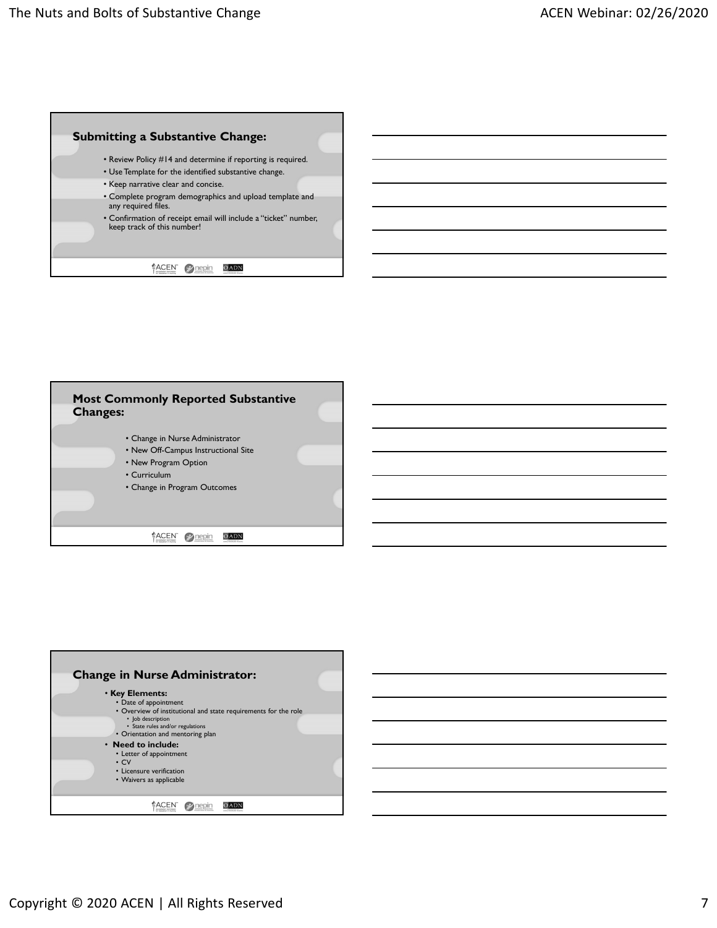



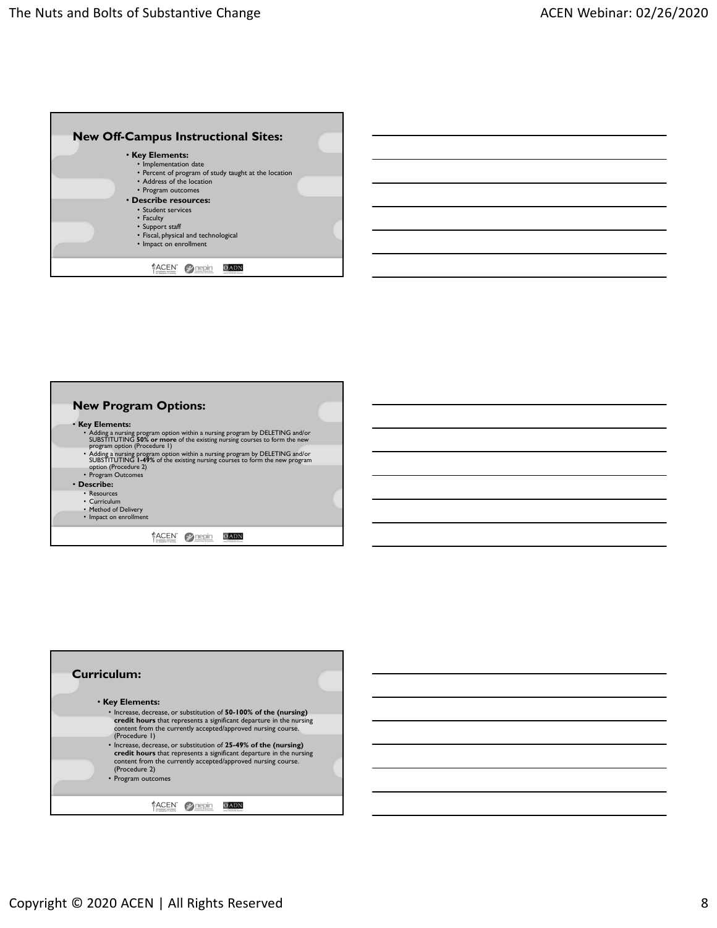

| <b>New Off-Campus Instructional Sites:</b>                                                                                                                   |  |
|--------------------------------------------------------------------------------------------------------------------------------------------------------------|--|
| <b>· Key Elements:</b>                                                                                                                                       |  |
| · Implementation date                                                                                                                                        |  |
| • Percent of program of study taught at the location<br>• Address of the location                                                                            |  |
| • Program outcomes                                                                                                                                           |  |
| • Describe resources:<br>• Student services                                                                                                                  |  |
| • Faculty                                                                                                                                                    |  |
| • Support staff<br>• Fiscal, physical and technological                                                                                                      |  |
| • Impact on enrollment                                                                                                                                       |  |
| $O$ ADN                                                                                                                                                      |  |
| ACEN ? nepin                                                                                                                                                 |  |
|                                                                                                                                                              |  |
|                                                                                                                                                              |  |
|                                                                                                                                                              |  |
|                                                                                                                                                              |  |
|                                                                                                                                                              |  |
|                                                                                                                                                              |  |
|                                                                                                                                                              |  |
|                                                                                                                                                              |  |
|                                                                                                                                                              |  |
| <b>New Program Options:</b>                                                                                                                                  |  |
| <b>· Key Elements:</b>                                                                                                                                       |  |
| $\cdot$ Adding a nursing program option within a nursing program by DELETING and/or SUBSTITUTING 50% or more of the existing nursing courses to form the new |  |
| program option (Procedure 1)                                                                                                                                 |  |
| • Adding a nursing program option within a nursing program by DELETING and/or<br>SUBSTITUTING 1-49% of the existing nursing courses to form the new program  |  |
| option (Procedure 2)<br>• Program Outcomes                                                                                                                   |  |
| • Describe:                                                                                                                                                  |  |
| • Resources<br>• Curriculum                                                                                                                                  |  |
| • Method of Delivery                                                                                                                                         |  |
| • Impact on enrollment                                                                                                                                       |  |
| ACEN Prepin<br>OADN                                                                                                                                          |  |
|                                                                                                                                                              |  |
|                                                                                                                                                              |  |
|                                                                                                                                                              |  |
|                                                                                                                                                              |  |
|                                                                                                                                                              |  |
|                                                                                                                                                              |  |
|                                                                                                                                                              |  |
|                                                                                                                                                              |  |
|                                                                                                                                                              |  |
|                                                                                                                                                              |  |
|                                                                                                                                                              |  |
| <b>Curriculum:</b>                                                                                                                                           |  |
|                                                                                                                                                              |  |
| <b>· Key Elements:</b>                                                                                                                                       |  |
| • Increase, decrease, or substitution of 50-100% of the (nursing)<br>credit hours that represents a significant departure in the nursing                     |  |
| content from the currently accepted/approved nursing course.                                                                                                 |  |
| (Procedure I)<br>• Increase, decrease, or substitution of 25-49% of the (nursing)                                                                            |  |
| credit hours that represents a significant departure in the nursing                                                                                          |  |
| content from the currently accepted/approved nursing course.<br>(Procedure 2)                                                                                |  |
| • Program outcomes                                                                                                                                           |  |
| ACEN Prepin                                                                                                                                                  |  |

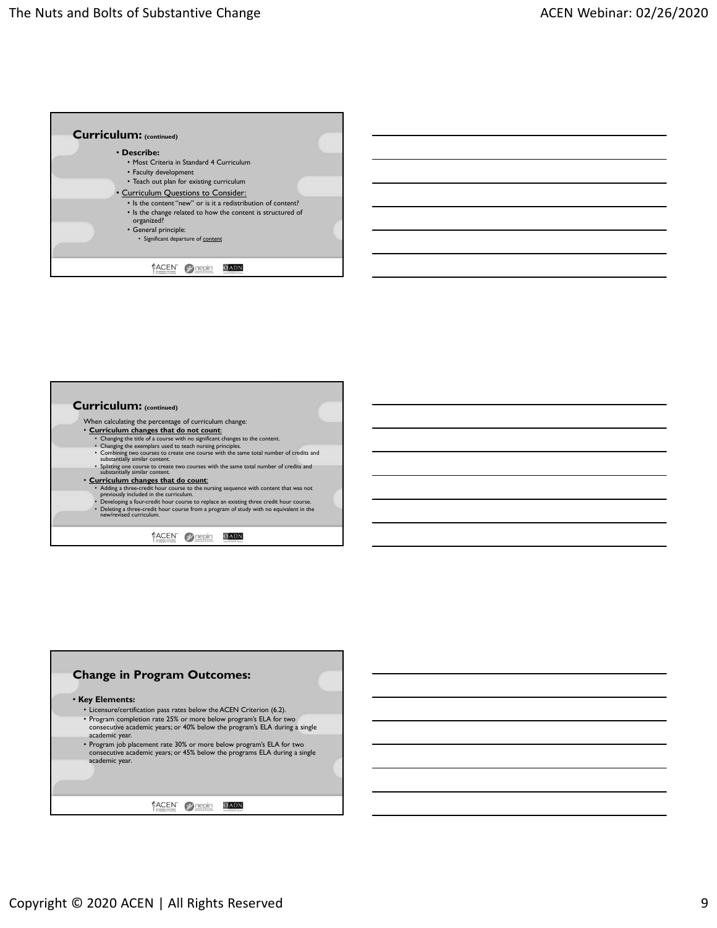



- When calculating the percentage of curriculum change:
	-
	-
	- **Curriculum changes that do not count:**<br>• Changing the title of a course with on significant changes to the content.<br>• Changing the exemplars used to teach nursing principles.<br>• Combining worourses to create one course w
	-
	- **Curriculum changes that do count:**<br>• Adding a three-credit hour course to the nursing sequence with content that was not<br>• periously included in the curriculum.<br>• Developing a four-credit hour course to replace an exist
	- Deleting a three-credit hour course from a program of study with no equivalent in the new/revised curriculum.

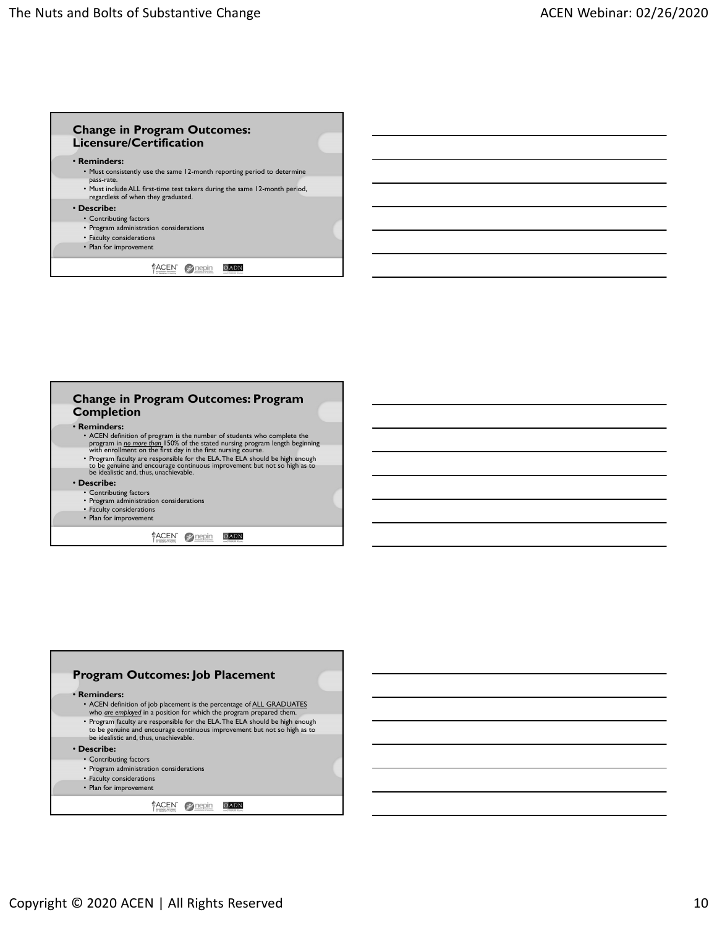

## **Change in Program Outcomes: Program Completion**

## • **Reminders:**

- ACEN definition of program is the number of students who complete the program in  $\underline{m}$  or then 150% of the stated nursing program length beginning with enrollment on the first day in the first nursing course.<br>• Progr
- 

## • **Describe:**

- Contributing factors
- Program administration considerations
- Faculty considerations
- Plan for improvement

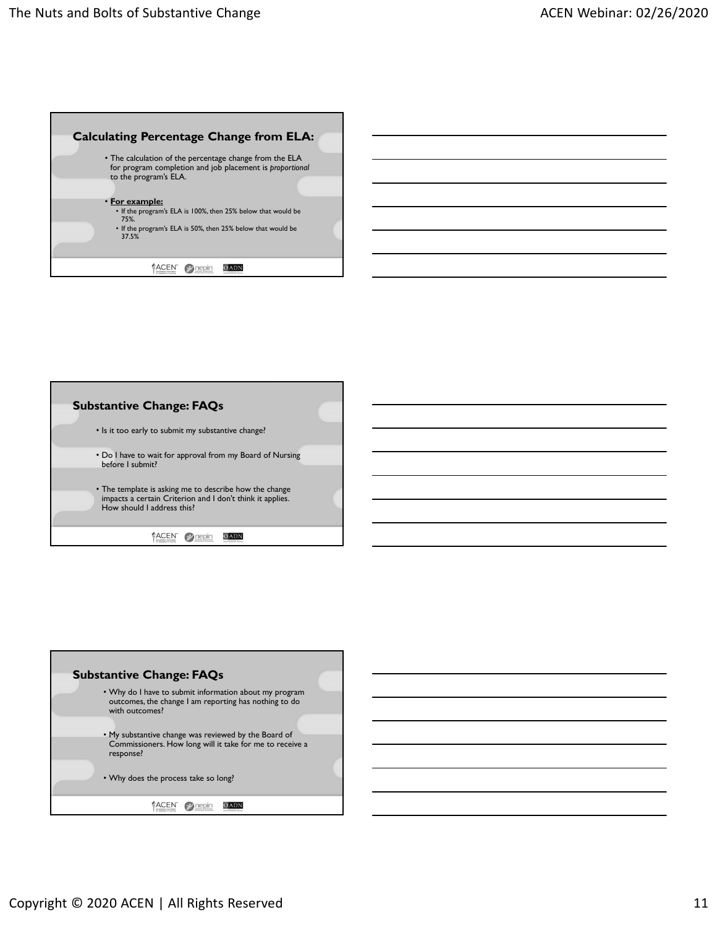



| <b>Substantive Change: FAQs</b>                                                                                                                                       |  |
|-----------------------------------------------------------------------------------------------------------------------------------------------------------------------|--|
| • Why do I have to submit information about my program<br>outcomes, the change I am reporting has nothing to do<br>with outcomes?                                     |  |
| . My substantive change was reviewed by the Board of<br>Commissioners. How long will it take for me to receive a<br>response?<br>• Why does the process take so long? |  |
|                                                                                                                                                                       |  |